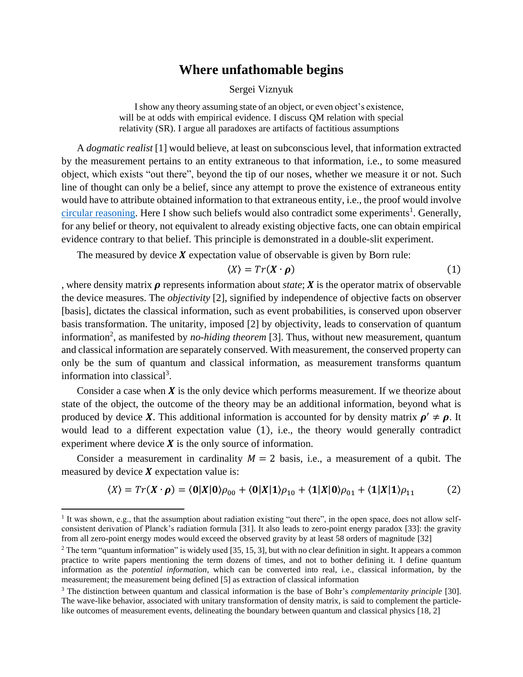## **Where unfathomable begins**

Sergei Viznyuk

I show any theory assuming state of an object, or even object's existence, will be at odds with empirical evidence. I discuss QM relation with special relativity (SR). I argue all paradoxes are artifacts of factitious assumptions

A *dogmatic realist* [1] would believe, at least on subconscious level, that information extracted by the measurement pertains to an entity extraneous to that information, i.e., to some measured object, which exists "out there", beyond the tip of our noses, whether we measure it or not. Such line of thought can only be a belief, since any attempt to prove the existence of extraneous entity would have to attribute obtained information to that extraneous entity, i.e., the proof would involve [circular reasoning.](https://en.wikipedia.org/wiki/Circular_reasoning) Here I show such beliefs would also contradict some experiments<sup>1</sup>. Generally, for any belief or theory, not equivalent to already existing objective facts, one can obtain empirical evidence contrary to that belief. This principle is demonstrated in a double-slit experiment.

The measured by device  $X$  expectation value of observable is given by Born rule:

<span id="page-0-1"></span><span id="page-0-0"></span>
$$
\langle X \rangle = Tr(X \cdot \boldsymbol{\rho}) \tag{1}
$$

, where density matrix  $\rho$  represents information about *state*;  $\chi$  is the operator matrix of observable the device measures. The *objectivity* [2], signified by independence of objective facts on observer [basis], dictates the classical information, such as event probabilities, is conserved upon observer basis transformation. The unitarity, imposed [2] by objectivity, leads to conservation of quantum information<sup>2</sup>, as manifested by *no-hiding theorem* [3]. Thus, without new measurement, quantum and classical information are separately conserved. With measurement, the conserved property can only be the sum of quantum and classical information, as measurement transforms quantum information into classical<sup>3</sup>.

Consider a case when  $\boldsymbol{X}$  is the only device which performs measurement. If we theorize about state of the object, the outcome of the theory may be an additional information, beyond what is produced by device X. This additional information is accounted for by density matrix  $\rho' \neq \rho$ . It would lead to a different expectation value [\(1\)](#page-0-0), i.e., the theory would generally contradict experiment where device  $X$  is the only source of information.

Consider a measurement in cardinality  $M = 2$  basis, i.e., a measurement of a qubit. The measured by device  $X$  expectation value is:

$$
\langle X \rangle = Tr(X \cdot \rho) = \langle 0 | X | 0 \rangle \rho_{00} + \langle 0 | X | 1 \rangle \rho_{10} + \langle 1 | X | 0 \rangle \rho_{01} + \langle 1 | X | 1 \rangle \rho_{11} \tag{2}
$$

<sup>1</sup> It was shown, e.g., that the assumption about radiation existing "out there", in the open space, does not allow selfconsistent derivation of Planck's radiation formula [31]. It also leads to zero-point energy paradox [33]: the gravity from all zero-point energy modes would exceed the observed gravity by at least 58 orders of magnitude [32]

 $2$  The term "quantum information" is widely used [35, 15, 3], but with no clear definition in sight. It appears a common practice to write papers mentioning the term dozens of times, and not to bother defining it. I define quantum information as the *potential information*, which can be converted into real, i.e., classical information, by the measurement; the measurement being defined [5] as extraction of classical information

<sup>3</sup> The distinction between quantum and classical information is the base of Bohr's *complementarity principle* [30]. The wave-like behavior, associated with unitary transformation of density matrix, is said to complement the particlelike outcomes of measurement events, delineating the boundary between quantum and classical physics [18, 2]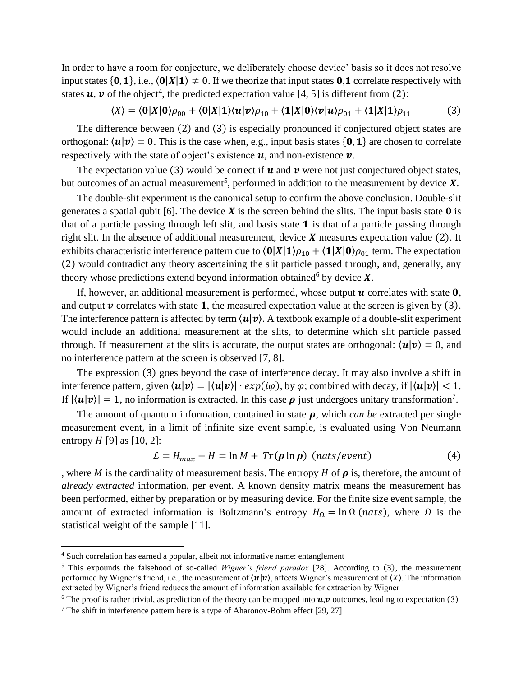In order to have a room for conjecture, we deliberately choose device' basis so it does not resolve input states  $\{0, 1\}$ , i.e.,  $\langle 0|X|1 \rangle \neq 0$ . If we theorize that input states 0.1 correlate respectively with states  $u$ ,  $v$  of the object<sup>4</sup>, the predicted expectation value [4, 5] is different from [\(2\)](#page-0-1):

<span id="page-1-0"></span>
$$
\langle X \rangle = \langle 0 | X | 0 \rangle \rho_{00} + \langle 0 | X | 1 \rangle \langle u | v \rangle \rho_{10} + \langle 1 | X | 0 \rangle \langle v | u \rangle \rho_{01} + \langle 1 | X | 1 \rangle \rho_{11} \tag{3}
$$

The difference between [\(2\)](#page-0-1) and [\(3\)](#page-1-0) is especially pronounced if conjectured object states are orthogonal:  $\langle u | v \rangle = 0$ . This is the case when, e.g., input basis states  $\{0, 1\}$  are chosen to correlate respectively with the state of object's existence  $\boldsymbol{u}$ , and non-existence  $\boldsymbol{v}$ .

The expectation value [\(3\)](#page-1-0) would be correct if  $\boldsymbol{u}$  and  $\boldsymbol{v}$  were not just conjectured object states, but outcomes of an actual measurement<sup>5</sup>, performed in addition to the measurement by device  $X$ .

The double-slit experiment is the canonical setup to confirm the above conclusion. Double-slit generates a spatial qubit [6]. The device  $X$  is the screen behind the slits. The input basis state  $\mathbf 0$  is that of a particle passing through left slit, and basis state  $\bf{1}$  is that of a particle passing through right slit. In the absence of additional measurement, device  $X$  measures expectation value [\(2\)](#page-0-1). It exhibits characteristic interference pattern due to  $\langle 0|X|1\rangle \rho_{10} + \langle 1|X|0\rangle \rho_{01}$  term. The expectation [\(2\)](#page-0-1) would contradict any theory ascertaining the slit particle passed through, and, generally, any theory whose predictions extend beyond information obtained by device  $X$ .

If, however, an additional measurement is performed, whose output  $\boldsymbol{u}$  correlates with state  $\boldsymbol{0}$ , and output  $\nu$  correlates with state 1, the measured expectation value at the screen is given by [\(3\)](#page-1-0). The interference pattern is affected by term  $\langle u | v \rangle$ . A textbook example of a double-slit experiment would include an additional measurement at the slits, to determine which slit particle passed through. If measurement at the slits is accurate, the output states are orthogonal:  $\langle u | v \rangle = 0$ , and no interference pattern at the screen is observed [7, 8].

The expression [\(3\)](#page-1-0) goes beyond the case of interference decay. It may also involve a shift in interference pattern, given  $\langle u | v \rangle = |\langle u | v \rangle| \cdot exp(i\varphi)$ , by  $\varphi$ ; combined with decay, if  $|\langle u | v \rangle| < 1$ . If  $|\langle u | v \rangle| = 1$ , no information is extracted. In this case  $\rho$  just undergoes unitary transformation<sup>7</sup>.

The amount of quantum information, contained in state  $\rho$ , which *can be* extracted per single measurement event, in a limit of infinite size event sample, is evaluated using Von Neumann entropy  $H$  [9] as [10, 2]:

<span id="page-1-1"></span>
$$
\mathcal{L} = H_{max} - H = \ln M + Tr(\boldsymbol{\rho} \ln \boldsymbol{\rho}) \text{ (nats/event)} \tag{4}
$$

, where *M* is the cardinality of measurement basis. The entropy *H* of  $\rho$  is, therefore, the amount of *already extracted* information, per event. A known density matrix means the measurement has been performed, either by preparation or by measuring device. For the finite size event sample, the amount of extracted information is Boltzmann's entropy  $H_{\Omega} = \ln \Omega$  (*nats*), where  $\Omega$  is the statistical weight of the sample [11].

<sup>4</sup> Such correlation has earned a popular, albeit not informative name: entanglement

<sup>5</sup> This expounds the falsehood of so-called *Wigner's friend paradox* [28]. According to (3), the measurement performed by Wigner's friend, i.e., the measurement of  $\langle u | v \rangle$ , affects Wigner's measurement of  $\langle X \rangle$ . The information extracted by Wigner's friend reduces the amount of information available for extraction by Wigner

<sup>&</sup>lt;sup>6</sup> The proof is rather trivial, as prediction of the theory can be mapped into  $u, v$  outcomes, leading to expectation [\(3\)](#page-1-0)

<sup>7</sup> The shift in interference pattern here is a type of Aharonov-Bohm effect [29, 27]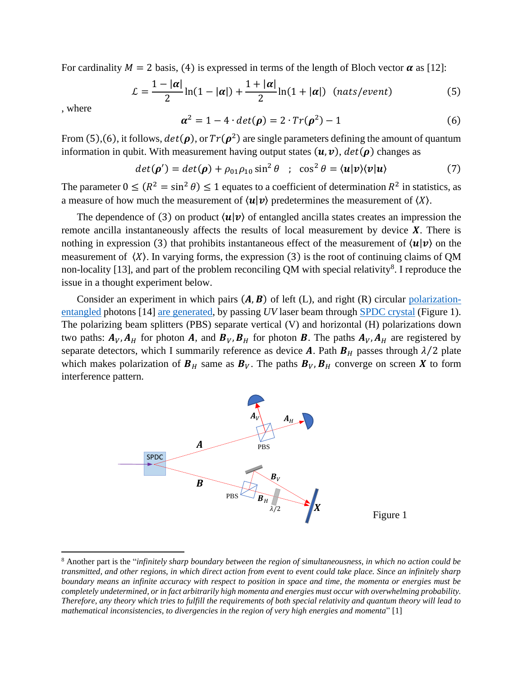For cardinality  $M = 2$  basis, [\(4\)](#page-1-1) is expressed in terms of the length of Bloch vector  $\alpha$  as [12]:

$$
\mathcal{L} = \frac{1 - |\alpha|}{2} \ln(1 - |\alpha|) + \frac{1 + |\alpha|}{2} \ln(1 + |\alpha|) \quad (nats/event)
$$
 (5)

, where

<span id="page-2-1"></span><span id="page-2-0"></span>
$$
\boldsymbol{\alpha}^2 = 1 - 4 \cdot \det(\boldsymbol{\rho}) = 2 \cdot Tr(\boldsymbol{\rho}^2) - 1 \tag{6}
$$

From [\(5\)](#page-2-0),[\(6\)](#page-2-1), it follows,  $det(\rho)$ , or  $Tr(\rho^2)$  are single parameters defining the amount of quantum information in qubit. With measurement having output states  $(u, v)$ ,  $det(\rho)$  changes as

$$
det(\boldsymbol{\rho}') = det(\boldsymbol{\rho}) + \rho_{01}\rho_{10}\sin^2\theta \quad ; \quad \cos^2\theta = \langle \boldsymbol{u}|\boldsymbol{v}\rangle\langle \boldsymbol{v}|\boldsymbol{u}\rangle \tag{7}
$$

The parameter  $0 \leq (R^2 = \sin^2 \theta) \leq 1$  equates to a coefficient of determination  $R^2$  in statistics, as a measure of how much the measurement of  $\langle u | v \rangle$  predetermines the measurement of  $\langle X \rangle$ .

The dependence of [\(3\)](#page-1-0) on product  $\langle u | v \rangle$  of entangled ancilla states creates an impression the remote ancilla instantaneously affects the results of local measurement by device  $X$ . There is nothing in expression [\(3\)](#page-1-0) that prohibits instantaneous effect of the measurement of  $\langle u | v \rangle$  on the measurement of  $(X)$ . In varying forms, the expression [\(3\)](#page-1-0) is the root of continuing claims of QM non-locality [13], and part of the problem reconciling QM with special relativity<sup>8</sup>. I reproduce the issue in a thought experiment below.

Consider an experiment in which pairs  $(A, B)$  of left (L), and right (R) circular [polarization](https://en.wikipedia.org/wiki/Quantum_entanglement)[entangled](https://en.wikipedia.org/wiki/Quantum_entanglement) photons [14] [are generated,](http://www.qolah.org/research/hqpdc/hqpdc.html) by passing *UV* laser beam through [SPDC crystal](https://arxiv.org/ftp/arxiv/papers/1809/1809.00127.pdf) [\(Figure 1\)](#page-2-2). The polarizing beam splitters (PBS) separate vertical (V) and horizontal (H) polarizations down two paths:  $A_V$ ,  $A_H$  for photon A, and  $B_V$ ,  $B_H$  for photon B. The paths  $A_V$ ,  $A_H$  are registered by separate detectors, which I summarily reference as device **A**. Path  $B_H$  passes through  $\lambda/2$  plate which makes polarization of  $B_H$  same as  $B_V$ . The paths  $B_V$ ,  $B_H$  converge on screen X to form interference pattern.

<span id="page-2-2"></span>

<sup>8</sup> Another part is the "*infinitely sharp boundary between the region of simultaneousness, in which no action could be transmitted, and other regions, in which direct action from event to event could take place. Since an infinitely sharp boundary means an infinite accuracy with respect to position in space and time, the momenta or energies must be completely undetermined, or in fact arbitrarily high momenta and energies must occur with overwhelming probability. Therefore, any theory which tries to fulfill the requirements of both special relativity and quantum theory will lead to mathematical inconsistencies, to divergencies in the region of very high energies and momenta*" [1]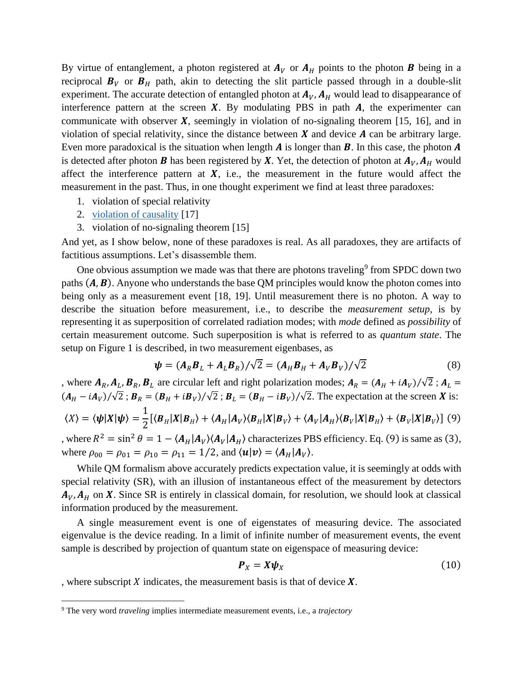By virtue of entanglement, a photon registered at  $A_V$  or  $A_H$  points to the photon **B** being in a reciprocal  $B_V$  or  $B_H$  path, akin to detecting the slit particle passed through in a double-slit experiment. The accurate detection of entangled photon at  $A_V$ ,  $A_H$  would lead to disappearance of interference pattern at the screen  $X$ . By modulating PBS in path  $A$ , the experimenter can communicate with observer  $\boldsymbol{X}$ , seemingly in violation of no-signaling theorem [15, 16], and in violation of special relativity, since the distance between  $\boldsymbol{X}$  and device  $\boldsymbol{A}$  can be arbitrary large. Even more paradoxical is the situation when length  $\vec{A}$  is longer than  $\vec{B}$ . In this case, the photon  $\vec{A}$ is detected after photon **B** has been registered by **X**. Yet, the detection of photon at  $A_V$ ,  $A_H$  would affect the interference pattern at  $X$ , i.e., the measurement in the future would affect the measurement in the past. Thus, in one thought experiment we find at least three paradoxes:

- 1. violation of special relativity
- 2. [violation of causality](https://physics.stackexchange.com/questions/119613/can-causality-be-violated#:~:text=A%20common%20justification%20for%20prohibiting,at%20t0%3Ct1.) [17]
- 3. violation of no-signaling theorem [15]

And yet, as I show below, none of these paradoxes is real. As all paradoxes, they are artifacts of factitious assumptions. Let's disassemble them.

One obvious assumption we made was that there are photons traveling<sup>9</sup> from SPDC down two paths  $(A, B)$ . Anyone who understands the base QM principles would know the photon comes into being only as a measurement event [18, 19]. Until measurement there is no photon. A way to describe the situation before measurement, i.e., to describe the *measurement setup*, is by representing it as superposition of correlated radiation modes; with *mode* defined as *possibility* of certain measurement outcome. Such superposition is what is referred to as *quantum state*. The setup on [Figure 1](#page-2-2) is described, in two measurement eigenbases, as

$$
\psi = (A_R B_L + A_L B_R) / \sqrt{2} = (A_H B_H + A_V B_V) / \sqrt{2}
$$
(8)

, where  $A_R$ ,  $A_L$ ,  $B_R$ ,  $B_L$  are circular left and right polarization modes;  $A_R = (A_H + iA_V)/\sqrt{2}$ ;  $A_L =$  $(A_H - iA_V)/\sqrt{2}$ ;  $B_R = (B_H + iB_V)/\sqrt{2}$ ;  $B_L = (B_H - iB_V)/\sqrt{2}$ . The expectation at the screen X is: 1

$$
\langle X \rangle = \langle \psi | X | \psi \rangle = \frac{1}{2} [\langle B_H | X | B_H \rangle + \langle A_H | A_V \rangle \langle B_H | X | B_V \rangle + \langle A_V | A_H \rangle \langle B_V | X | B_H \rangle + \langle B_V | X | B_V \rangle] \tag{9}
$$

, where  $R^2 = \sin^2 \theta = 1 - \langle A_H | A_V \rangle \langle A_V | A_H \rangle$  characterizes PBS efficiency. Eq. [\(9\)](#page-3-0) is same as [\(3\)](#page-1-0), where  $\rho_{00} = \rho_{01} = \rho_{10} = \rho_{11} = 1/2$ , and  $\langle u | v \rangle = \langle A_H | A_V \rangle$ .

While QM formalism above accurately predicts expectation value, it is seemingly at odds with special relativity (SR), with an illusion of instantaneous effect of the measurement by detectors  $A_V$ ,  $A_H$  on X. Since SR is entirely in classical domain, for resolution, we should look at classical information produced by the measurement.

A single measurement event is one of eigenstates of measuring device. The associated eigenvalue is the device reading. In a limit of infinite number of measurement events, the event sample is described by projection of quantum state on eigenspace of measuring device:

<span id="page-3-2"></span><span id="page-3-1"></span><span id="page-3-0"></span>
$$
\boldsymbol{P}_X = \boldsymbol{X} \boldsymbol{\psi}_X \tag{10}
$$

, where subscript  $X$  indicates, the measurement basis is that of device  $X$ .

<sup>9</sup> The very word *traveling* implies intermediate measurement events, i.e., a *trajectory*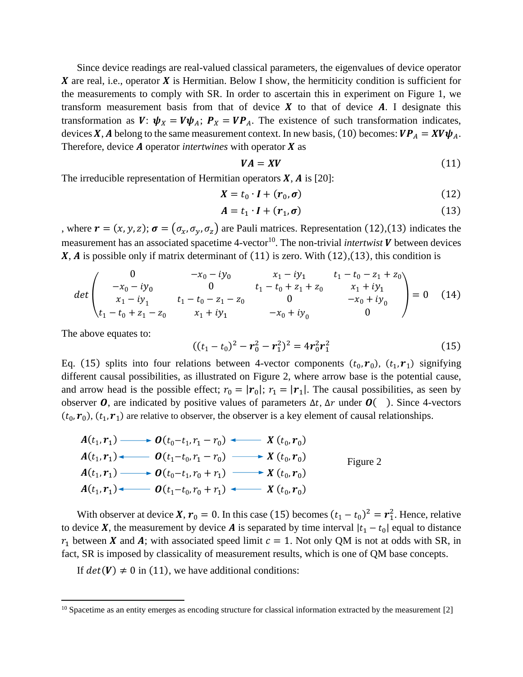Since device readings are real-valued classical parameters, the eigenvalues of device operator X are real, i.e., operator X is Hermitian. Below I show, the hermiticity condition is sufficient for the measurements to comply with SR. In order to ascertain this in experiment on [Figure 1,](#page-2-2) we transform measurement basis from that of device  $\boldsymbol{X}$  to that of device  $\boldsymbol{A}$ . I designate this transformation as  $V: \psi_X = V \psi_A$ ;  $P_X = V P_A$ . The existence of such transformation indicates, devices X, A belong to the same measurement context. In new basis, [\(10\)](#page-3-1) becomes:  $VP_A = XV\psi_A$ . Therefore, device  $A$  operator *intertwines* with operator  $X$  as

<span id="page-4-2"></span><span id="page-4-1"></span><span id="page-4-0"></span>
$$
VA = XV \tag{11}
$$

The irreducible representation of Hermitian operators  $X$ ,  $A$  is [20]:

$$
X = t_0 \cdot I + (r_0, \sigma) \tag{12}
$$

$$
A = t_1 \cdot I + (r_1, \sigma) \tag{13}
$$

, where  $\mathbf{r} = (x, y, z)$ ;  $\boldsymbol{\sigma} = (\sigma_x, \sigma_y, \sigma_z)$  are Pauli matrices. Representation [\(12\)](#page-4-0),[\(13\)](#page-4-1) indicates the measurement has an associated spacetime 4-vector<sup>10</sup>. The non-trivial *intertwist* V between devices  $X$ ,  $\vec{A}$  is possible only if matrix determinant of [\(11\)](#page-4-2) is zero. With [\(12\)](#page-4-0),[\(13\)](#page-4-1), this condition is

$$
det\begin{pmatrix}0&-x_0-iy_0&x_1-iy_1&t_1-t_0-z_1+z_0\\-x_0-iy_0&0&t_1-t_0+z_1+z_0&x_1+iy_1\\x_1-iy_1&t_1-t_0-z_1-z_0&0&-x_0+iy_0\\t_1-t_0+z_1-z_0&x_1+iy_1&-x_0+iy_0&0\end{pmatrix}=0\quad (14)
$$

The above equates to:

<span id="page-4-4"></span><span id="page-4-3"></span>
$$
((t1 - t0)2 - r02 - r12)2 = 4r02r12
$$
 (15)

Eq. (15) splits into four relations between 4-vector components  $(t_0, r_0)$ ,  $(t_1, r_1)$  signifying different causal possibilities, as illustrated on [Figure 2,](#page-4-3) where arrow base is the potential cause, and arrow head is the possible effect;  $r_0 = |\mathbf{r}_0|$ ;  $r_1 = |\mathbf{r}_1|$ . The causal possibilities, as seen by observer **O**, are indicated by positive values of parameters  $\Delta t$ ,  $\Delta r$  under  $\boldsymbol{O}(\ )$ . Since 4-vectors  $(t_0, r_0)$ ,  $(t_1, r_1)$  are relative to observer, the observer is a key element of causal relationships.

$$
A(t_1, r_1) \longrightarrow O(t_0 - t_1, r_1 - r_0) \longrightarrow X(t_0, r_0)
$$
  
\n
$$
A(t_1, r_1) \longrightarrow O(t_1 - t_0, r_1 - r_0) \longrightarrow X(t_0, r_0)
$$
  
\n
$$
A(t_1, r_1) \longrightarrow O(t_0 - t_1, r_0 + r_1) \longrightarrow X(t_0, r_0)
$$
  
\n
$$
A(t_1, r_1) \longleftarrow O(t_1 - t_0, r_0 + r_1) \longrightarrow X(t_0, r_0)
$$

With observer at device **X**,  $r_0 = 0$ . In this case [\(15\)](#page-4-4) becomes  $(t_1 - t_0)^2 = r_1^2$ . Hence, relative to device X, the measurement by device A is separated by time interval  $|t_1 - t_0|$  equal to distance  $r_1$  between **X** and **A**; with associated speed limit  $c = 1$ . Not only QM is not at odds with SR, in fact, SR is imposed by classicality of measurement results, which is one of QM base concepts.

If  $det(V) \neq 0$  in [\(11\)](#page-4-2), we have additional conditions:

 $10$  Spacetime as an entity emerges as encoding structure for classical information extracted by the measurement  $[2]$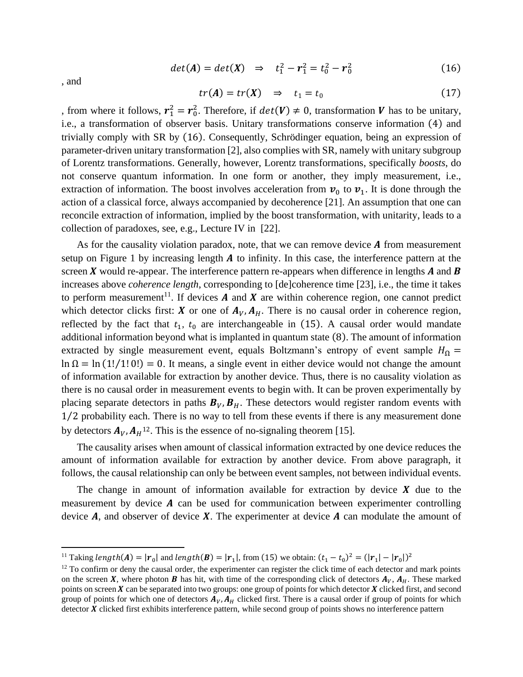$$
det(A) = det(X) \Rightarrow t_1^2 - r_1^2 = t_0^2 - r_0^2 \tag{16}
$$

<span id="page-5-0"></span> $tr(A) = tr(X) \Rightarrow t_1 = t_0$ (17)

, from where it follows,  $r_1^2 = r_0^2$ . Therefore, if  $det(V) \neq 0$ , transformation V has to be unitary, i.e., a transformation of observer basis. Unitary transformations conserve information [\(4\)](#page-1-1) and trivially comply with SR by [\(16\)](#page-5-0). Consequently, Schrödinger equation, being an expression of parameter-driven unitary transformation [2], also complies with SR, namely with unitary subgroup of Lorentz transformations. Generally, however, Lorentz transformations, specifically *boosts*, do not conserve quantum information. In one form or another, they imply measurement, i.e., extraction of information. The boost involves acceleration from  $v_0$  to  $v_1$ . It is done through the action of a classical force, always accompanied by decoherence [21]. An assumption that one can reconcile extraction of information, implied by the boost transformation, with unitarity, leads to a collection of paradoxes, see, e.g., Lecture IV in [22].

As for the causality violation paradox, note, that we can remove device  $\bm{A}$  from measurement setup on [Figure 1](#page-2-2) by increasing length  $A$  to infinity. In this case, the interference pattern at the screen  $\bm{X}$  would re-appear. The interference pattern re-appears when difference in lengths  $\bm{A}$  and  $\bm{B}$ increases above *coherence length*, corresponding to [de]coherence time [23], i.e., the time it takes to perform measurement<sup>11</sup>. If devices  $A$  and  $X$  are within coherence region, one cannot predict which detector clicks first: **X** or one of  $A_V$ ,  $A_H$ . There is no causal order in coherence region, reflected by the fact that  $t_1$ ,  $t_0$  are interchangeable in [\(15\)](#page-4-4). A causal order would mandate additional information beyond what is implanted in quantum state [\(8\)](#page-3-2). The amount of information extracted by single measurement event, equals Boltzmann's entropy of event sample  $H_{\Omega}$  =  $\ln \Omega = \ln (1!/1!0!) = 0$ . It means, a single event in either device would not change the amount of information available for extraction by another device. Thus, there is no causality violation as there is no causal order in measurement events to begin with. It can be proven experimentally by placing separate detectors in paths  $B_V$ ,  $B_H$ . These detectors would register random events with 1⁄2 probability each. There is no way to tell from these events if there is any measurement done by detectors  $A_V$ ,  $A_H$ <sup>12</sup>. This is the essence of no-signaling theorem [15].

The causality arises when amount of classical information extracted by one device reduces the amount of information available for extraction by another device. From above paragraph, it follows, the causal relationship can only be between event samples, not between individual events.

The change in amount of information available for extraction by device  $X$  due to the measurement by device  $A$  can be used for communication between experimenter controlling device  $A$ , and observer of device  $X$ . The experimenter at device  $A$  can modulate the amount of

, and

<sup>&</sup>lt;sup>11</sup> Taking length(**A**) =  $|\mathbf{r}_0|$  and length(**B**) =  $|\mathbf{r}_1|$ , from (15) we obtain:  $(t_1 - t_0)^2 = (|\mathbf{r}_1| - |\mathbf{r}_0|)^2$ 

 $12$  To confirm or deny the causal order, the experimenter can register the click time of each detector and mark points on the screen X, where photon B has hit, with time of the corresponding click of detectors  $A_V$ ,  $A_H$ . These marked points on screen  $X$  can be separated into two groups: one group of points for which detector  $X$  clicked first, and second group of points for which one of detectors  $A_V$ ,  $A_H$  clicked first. There is a causal order if group of points for which detector  $\chi$  clicked first exhibits interference pattern, while second group of points shows no interference pattern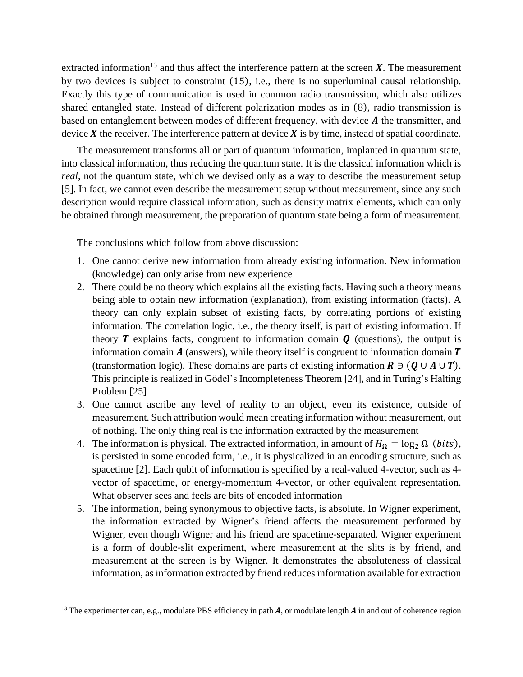extracted information<sup>13</sup> and thus affect the interference pattern at the screen  $X$ . The measurement by two devices is subject to constraint [\(15\)](#page-4-4), i.e., there is no superluminal causal relationship. Exactly this type of communication is used in common radio transmission, which also utilizes shared entangled state. Instead of different polarization modes as in [\(8\)](#page-3-2), radio transmission is based on entanglement between modes of different frequency, with device  $A$  the transmitter, and device  $X$  the receiver. The interference pattern at device  $X$  is by time, instead of spatial coordinate.

The measurement transforms all or part of quantum information, implanted in quantum state, into classical information, thus reducing the quantum state. It is the classical information which is *real*, not the quantum state, which we devised only as a way to describe the measurement setup [5]. In fact, we cannot even describe the measurement setup without measurement, since any such description would require classical information, such as density matrix elements, which can only be obtained through measurement, the preparation of quantum state being a form of measurement.

The conclusions which follow from above discussion:

- 1. One cannot derive new information from already existing information. New information (knowledge) can only arise from new experience
- 2. There could be no theory which explains all the existing facts. Having such a theory means being able to obtain new information (explanation), from existing information (facts). A theory can only explain subset of existing facts, by correlating portions of existing information. The correlation logic, i.e., the theory itself, is part of existing information. If theory  $\bm{T}$  explains facts, congruent to information domain  $\bm{Q}$  (questions), the output is information domain  $A$  (answers), while theory itself is congruent to information domain  $T$ (transformation logic). These domains are parts of existing information  $\mathbf{R} \ni (\mathbf{Q} \cup \mathbf{A} \cup \mathbf{T})$ . This principle is realized in Gödel's Incompleteness Theorem [24], and in Turing's Halting Problem [25]
- 3. One cannot ascribe any level of reality to an object, even its existence, outside of measurement. Such attribution would mean creating information without measurement, out of nothing. The only thing real is the information extracted by the measurement
- 4. The information is physical. The extracted information, in amount of  $H_0 = \log_2 \Omega$  (*bits*), is persisted in some encoded form, i.e., it is physicalized in an encoding structure, such as spacetime [2]. Each qubit of information is specified by a real-valued 4-vector, such as 4 vector of spacetime, or energy-momentum 4-vector, or other equivalent representation. What observer sees and feels are bits of encoded information
- 5. The information, being synonymous to objective facts, is absolute. In Wigner experiment, the information extracted by Wigner's friend affects the measurement performed by Wigner, even though Wigner and his friend are spacetime-separated. Wigner experiment is a form of double-slit experiment, where measurement at the slits is by friend, and measurement at the screen is by Wigner. It demonstrates the absoluteness of classical information, as information extracted by friend reduces information available for extraction

<sup>&</sup>lt;sup>13</sup> The experimenter can, e.g., modulate PBS efficiency in path  $A$ , or modulate length  $A$  in and out of coherence region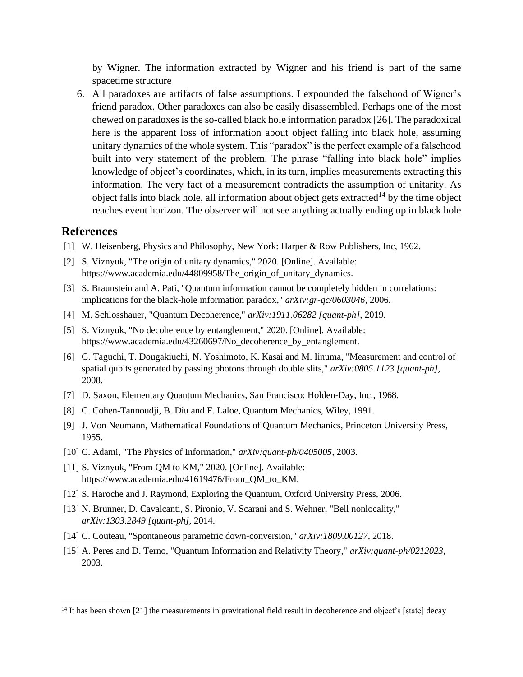by Wigner. The information extracted by Wigner and his friend is part of the same spacetime structure

6. All paradoxes are artifacts of false assumptions. I expounded the falsehood of Wigner's friend paradox. Other paradoxes can also be easily disassembled. Perhaps one of the most chewed on paradoxes is the so-called black hole information paradox [26]. The paradoxical here is the apparent loss of information about object falling into black hole, assuming unitary dynamics of the whole system. This "paradox" is the perfect example of a falsehood built into very statement of the problem. The phrase "falling into black hole" implies knowledge of object's coordinates, which, in its turn, implies measurements extracting this information. The very fact of a measurement contradicts the assumption of unitarity. As object falls into black hole, all information about object gets extracted<sup>14</sup> by the time object reaches event horizon. The observer will not see anything actually ending up in black hole

## **References**

- [1] W. Heisenberg, Physics and Philosophy, New York: Harper & Row Publishers, Inc, 1962.
- [2] S. Viznyuk, "The origin of unitary dynamics," 2020. [Online]. Available: https://www.academia.edu/44809958/The\_origin\_of\_unitary\_dynamics.
- [3] S. Braunstein and A. Pati, "Quantum information cannot be completely hidden in correlations: implications for the black-hole information paradox," *arXiv:gr-qc/0603046,* 2006.
- [4] M. Schlosshauer, "Quantum Decoherence," *arXiv:1911.06282 [quant-ph],* 2019.
- [5] S. Viznyuk, "No decoherence by entanglement," 2020. [Online]. Available: https://www.academia.edu/43260697/No\_decoherence\_by\_entanglement.
- [6] G. Taguchi, T. Dougakiuchi, N. Yoshimoto, K. Kasai and M. Iinuma, "Measurement and control of spatial qubits generated by passing photons through double slits," *arXiv:0805.1123 [quant-ph],*  2008.
- [7] D. Saxon, Elementary Quantum Mechanics, San Francisco: Holden-Day, Inc., 1968.
- [8] C. Cohen-Tannoudji, B. Diu and F. Laloe, Quantum Mechanics, Wiley, 1991.
- [9] J. Von Neumann, Mathematical Foundations of Quantum Mechanics, Princeton University Press, 1955.
- [10] C. Adami, "The Physics of Information," *arXiv:quant-ph/0405005,* 2003.
- [11] S. Viznyuk, "From QM to KM," 2020. [Online]. Available: https://www.academia.edu/41619476/From\_QM\_to\_KM.
- [12] S. Haroche and J. Raymond, Exploring the Quantum, Oxford University Press, 2006.
- [13] N. Brunner, D. Cavalcanti, S. Pironio, V. Scarani and S. Wehner, "Bell nonlocality," *arXiv:1303.2849 [quant-ph],* 2014.
- [14] C. Couteau, "Spontaneous parametric down-conversion," *arXiv:1809.00127,* 2018.
- [15] A. Peres and D. Terno, "Quantum Information and Relativity Theory," *arXiv:quant-ph/0212023,*  2003.

<sup>&</sup>lt;sup>14</sup> It has been shown [21] the measurements in gravitational field result in decoherence and object's [state] decay